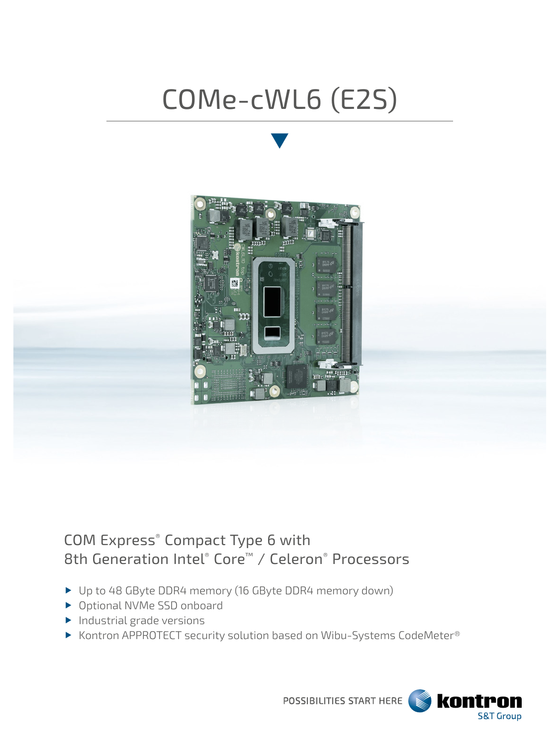## COMe-cWL6 (E2S)



## COM Express® Compact Type 6 with 8th Generation Intel® Core™ / Celeron® Processors

- Up to 48 GByte DDR4 memory (16 GByte DDR4 memory down)
- ▶ Optional NVMe SSD onboard
- $\blacktriangleright$  Industrial grade versions
- ▶ Kontron APPROTECT security solution based on Wibu-Systems CodeMeter®



POSSIBILITIES START HERE